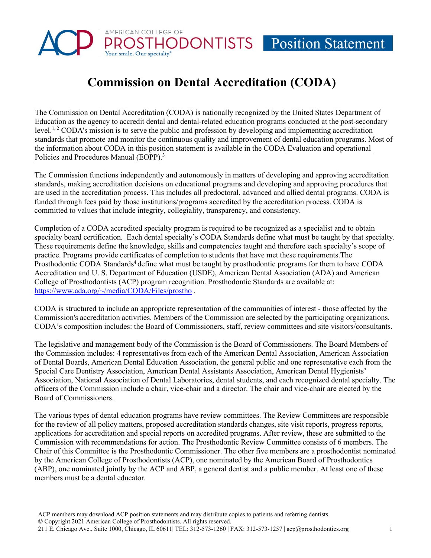# AMERICAN COLLEGE OF HODONTISTS Position Statement

# **Commission on Dental Accreditation (CODA)**

The Commission on Dental Accreditation (CODA) is nationally recognized by the United States Department of Education as the agency to accredit dental and dental-related education programs conducted at the post-secondary level.<sup>1, 2</sup> CODA's mission is to serve the public and profession by developing and implementing accreditation standards that promote and monitor the continuous quality and improvement of dental education programs. Most of the information about CODA in this position statement is available in the CODA Evaluation and operational Policies and Procedures Manual (EOPP).<sup>3</sup>

The Commission functions independently and autonomously in matters of developing and approving accreditation standards, making accreditation decisions on educational programs and developing and approving procedures that are used in the accreditation process. This includes all predoctoral, advanced and allied dental programs. CODA is funded through fees paid by those institutions/programs accredited by the accreditation process. CODA is committed to values that include integrity, collegiality, transparency, and consistency.

Completion of a CODA accredited specialty program is required to be recognized as a specialist and to obtain specialty board certification. Each dental specialty's CODA Standards define what must be taught by that specialty. These requirements define the knowledge, skills and competencies taught and therefore each specialty's scope of practice. Programs provide certificates of completion to students that have met these requirements.The Prosthodontic CODA Standards<sup>4</sup> define what must be taught by prosthodontic programs for them to have CODA Accreditation and U. S. Department of Education (USDE), American Dental Association (ADA) and American College of Prosthodontists (ACP) program recognition. Prosthodontic Standards are available at: [https://www.ada.org/~/media/CODA/Files/prostho](https://www.ada.org/%7E/media/CODA/Files/prostho) .

CODA is structured to include an appropriate representation of the communities of interest - those affected by the Commission's accreditation activities. Members of the Commission are selected by the participating organizations. CODA's composition includes: the Board of Commissioners, staff, review committees and site visitors/consultants.

The legislative and management body of the Commission is the Board of Commissioners. The Board Members of the Commission includes: 4 representatives from each of the American Dental Association, American Association of Dental Boards, American Dental Education Association, the general public and one representative each from the Special Care Dentistry Association, American Dental Assistants Association, American Dental Hygienists' Association, National Association of Dental Laboratories, dental students, and each recognized dental specialty. The officers of the Commission include a chair, vice-chair and a director. The chair and vice-chair are elected by the Board of Commissioners.

The various types of dental education programs have review committees. The Review Committees are responsible for the review of all policy matters, proposed accreditation standards changes, site visit reports, progress reports, applications for accreditation and special reports on accredited programs. After review, these are submitted to the Commission with recommendations for action. The Prosthodontic Review Committee consists of 6 members. The Chair of this Committee is the Prosthodontic Commissioner. The other five members are a prosthodontist nominated by the American College of Prosthodontists (ACP), one nominated by the American Board of Prosthodontics (ABP), one nominated jointly by the ACP and ABP, a general dentist and a public member. At least one of these members must be a dental educator.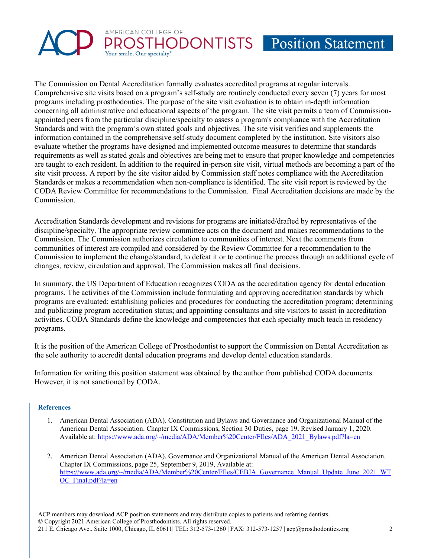

The Commission on Dental Accreditation formally evaluates accredited programs at regular intervals. Comprehensive site visits based on a program's self-study are routinely conducted every seven (7) years for most programs including prosthodontics. The purpose of the site visit evaluation is to obtain in-depth information concerning all administrative and educational aspects of the program. The site visit permits a team of Commissionappointed peers from the particular discipline/specialty to assess a program's compliance with the Accreditation Standards and with the program's own stated goals and objectives. The site visit verifies and supplements the information contained in the comprehensive self-study document completed by the institution. Site visitors also evaluate whether the programs have designed and implemented outcome measures to determine that standards requirements as well as stated goals and objectives are being met to ensure that proper knowledge and competencies are taught to each resident. In addition to the required in-person site visit, virtual methods are becoming a part of the site visit process. A report by the site visitor aided by Commission staff notes compliance with the Accreditation Standards or makes a recommendation when non-compliance is identified. The site visit report is reviewed by the CODA Review Committee for recommendations to the Commission. Final Accreditation decisions are made by the Commission.

Accreditation Standards development and revisions for programs are initiated/drafted by representatives of the discipline/specialty. The appropriate review committee acts on the document and makes recommendations to the Commission. The Commission authorizes circulation to communities of interest. Next the comments from communities of interest are compiled and considered by the Review Committee for a recommendation to the Commission to implement the change/standard, to defeat it or to continue the process through an additional cycle of changes, review, circulation and approval. The Commission makes all final decisions.

In summary, the US Department of Education recognizes CODA as the accreditation agency for dental education programs. The activities of the Commission include formulating and approving accreditation standards by which programs are evaluated; establishing policies and procedures for conducting the accreditation program; determining and publicizing program accreditation status; and appointing consultants and site visitors to assist in accreditation activities. CODA Standards define the knowledge and competencies that each specialty much teach in residency programs.

It is the position of the American College of Prosthodontist to support the Commission on Dental Accreditation as the sole authority to accredit dental education programs and develop dental education standards.

Information for writing this position statement was obtained by the author from published CODA documents. However, it is not sanctioned by CODA.

## **References**

- 1. American Dental Association (ADA). Constitution and Bylaws and Governance and Organizational Manua**l** of the American Dental Association. Chapter IX Commissions, Section 30 Duties, page 19**.** Revised January 1, 2020. Available at: [https://www.ada.org/~/media/ADA/Member%20Center/FIles/ADA\\_2021\\_Bylaws.pdf?la=en](https://www.ada.org/%7E/media/ADA/Member%20Center/FIles/ADA_2021_Bylaws.pdf?la=en)
- 2. American Dental Association (ADA). Governance and Organizational Manual of the American Dental Association. Chapter IX Commissions, page 25, September 9, 2019, Available at: [https://www.ada.org/~/media/ADA/Member%20Center/FIles/CEBJA\\_Governance\\_Manual\\_Update\\_June\\_2021\\_WT](https://www.ada.org/%7E/media/ADA/Member%20Center/FIles/CEBJA_Governance_Manual_Update_June_2021_WTOC_Final.pdf?la=en) [OC\\_Final.pdf?la=en](https://www.ada.org/%7E/media/ADA/Member%20Center/FIles/CEBJA_Governance_Manual_Update_June_2021_WTOC_Final.pdf?la=en)

ACP members may download ACP position statements and may distribute copies to patients and referring dentists. © Copyright 2021 American College of Prosthodontists. All rights reserved. 211 E. Chicago Ave., Suite 1000, Chicago, IL 60611| TEL: 312-573-1260 | FAX: 312-573-1257 [| acp@prosthodontics.org](mailto:acp@prosthodontics.org) 2